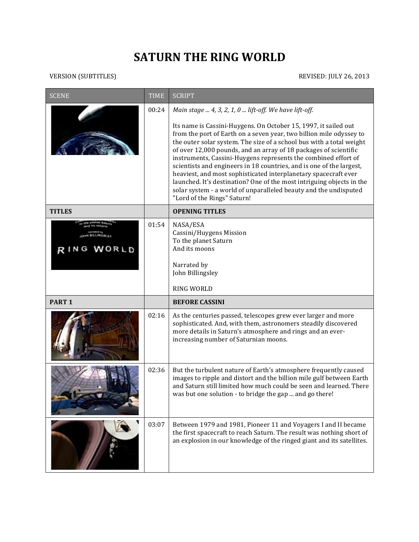## **SATURN THE RING WORLD**

VERSION (SUBTITLES) REVISED: JULY 26, 2013

| <b>SCENE</b>      | <b>TIME</b> | <b>SCRIPT</b>                                                                                                                                                                                                                                                                                                                                                                                                                                                                                                                                                                                                                                                               |
|-------------------|-------------|-----------------------------------------------------------------------------------------------------------------------------------------------------------------------------------------------------------------------------------------------------------------------------------------------------------------------------------------------------------------------------------------------------------------------------------------------------------------------------------------------------------------------------------------------------------------------------------------------------------------------------------------------------------------------------|
|                   | 00:24       | Main stage  4, 3, 2, 1, 0  lift-off. We have lift-off.                                                                                                                                                                                                                                                                                                                                                                                                                                                                                                                                                                                                                      |
|                   |             | Its name is Cassini-Huygens. On October 15, 1997, it sailed out<br>from the port of Earth on a seven year, two billion mile odyssey to<br>the outer solar system. The size of a school bus with a total weight<br>of over 12,000 pounds, and an array of 18 packages of scientific<br>instruments, Cassini-Huygens represents the combined effort of<br>scientists and engineers in 18 countries, and is one of the largest,<br>heaviest, and most sophisticated interplanetary spacecraft ever<br>launched. It's destination? One of the most intriguing objects in the<br>solar system - a world of unparalleled beauty and the undisputed<br>"Lord of the Rings" Saturn! |
| <b>TITLES</b>     |             | <b>OPENING TITLES</b>                                                                                                                                                                                                                                                                                                                                                                                                                                                                                                                                                                                                                                                       |
| RING WORLD        | 01:54       | NASA/ESA<br>Cassini/Huygens Mission<br>To the planet Saturn<br>And its moons<br>Narrated by<br>John Billingsley                                                                                                                                                                                                                                                                                                                                                                                                                                                                                                                                                             |
|                   |             | <b>RING WORLD</b>                                                                                                                                                                                                                                                                                                                                                                                                                                                                                                                                                                                                                                                           |
| PART <sub>1</sub> |             | <b>BEFORE CASSINI</b>                                                                                                                                                                                                                                                                                                                                                                                                                                                                                                                                                                                                                                                       |
|                   | 02:16       | As the centuries passed, telescopes grew ever larger and more<br>sophisticated. And, with them, astronomers steadily discovered<br>more details in Saturn's atmosphere and rings and an ever-<br>increasing number of Saturnian moons.                                                                                                                                                                                                                                                                                                                                                                                                                                      |
|                   | 02:36       | But the turbulent nature of Earth's atmosphere frequently caused<br>images to ripple and distort and the billion mile gulf between Earth<br>and Saturn still limited how much could be seen and learned. There<br>was but one solution - to bridge the gap  and go there!                                                                                                                                                                                                                                                                                                                                                                                                   |
|                   | 03:07       | Between 1979 and 1981, Pioneer 11 and Voyagers I and II became<br>the first spacecraft to reach Saturn. The result was nothing short of<br>an explosion in our knowledge of the ringed giant and its satellites.                                                                                                                                                                                                                                                                                                                                                                                                                                                            |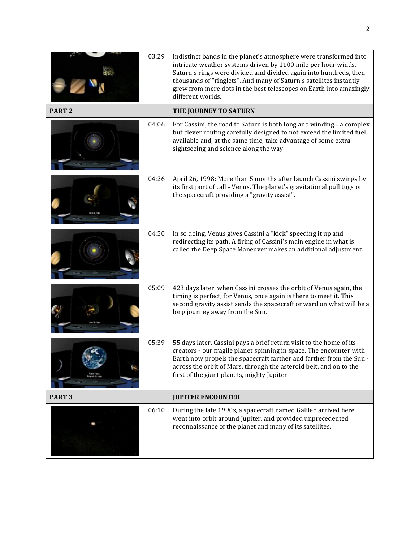|                   | 03:29 | Indistinct bands in the planet's atmosphere were transformed into<br>intricate weather systems driven by 1100 mile per hour winds.<br>Saturn's rings were divided and divided again into hundreds, then<br>thousands of "ringlets". And many of Saturn's satellites instantly<br>grew from mere dots in the best telescopes on Earth into amazingly<br>different worlds. |
|-------------------|-------|--------------------------------------------------------------------------------------------------------------------------------------------------------------------------------------------------------------------------------------------------------------------------------------------------------------------------------------------------------------------------|
| PART <sub>2</sub> |       | THE JOURNEY TO SATURN                                                                                                                                                                                                                                                                                                                                                    |
|                   | 04:06 | For Cassini, the road to Saturn is both long and winding a complex<br>but clever routing carefully designed to not exceed the limited fuel<br>available and, at the same time, take advantage of some extra<br>sightseeing and science along the way.                                                                                                                    |
|                   | 04:26 | April 26, 1998: More than 5 months after launch Cassini swings by<br>its first port of call - Venus. The planet's gravitational pull tugs on<br>the spacecraft providing a "gravity assist".                                                                                                                                                                             |
|                   | 04:50 | In so doing, Venus gives Cassini a "kick" speeding it up and<br>redirecting its path. A firing of Cassini's main engine in what is<br>called the Deep Space Maneuver makes an additional adjustment.                                                                                                                                                                     |
|                   | 05:09 | 423 days later, when Cassini crosses the orbit of Venus again, the<br>timing is perfect, for Venus, once again is there to meet it. This<br>second gravity assist sends the spacecraft onward on what will be a<br>long journey away from the Sun.                                                                                                                       |
|                   | 05:39 | 55 days later, Cassini pays a brief return visit to the home of its<br>creators - our fragile planet spinning in space. The encounter with<br>Earth now propels the spacecraft farther and farther from the Sun -<br>across the orbit of Mars, through the asteroid belt, and on to the<br>first of the giant planets, mighty Jupiter.                                   |
| PART <sub>3</sub> |       | <b>JUPITER ENCOUNTER</b>                                                                                                                                                                                                                                                                                                                                                 |
|                   | 06:10 | During the late 1990s, a spacecraft named Galileo arrived here,<br>went into orbit around Jupiter, and provided unprecedented<br>reconnaissance of the planet and many of its satellites.                                                                                                                                                                                |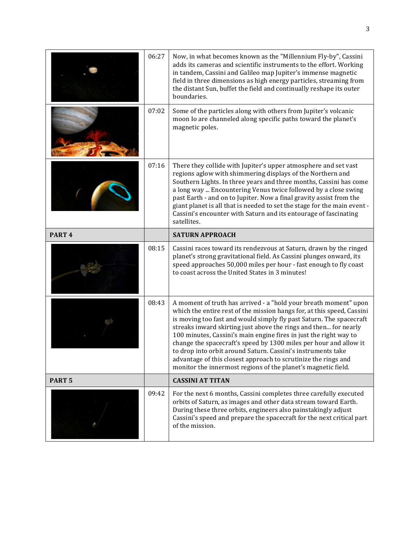|                   | 06:27 | Now, in what becomes known as the "Millennium Fly-by", Cassini<br>adds its cameras and scientific instruments to the effort. Working<br>in tandem, Cassini and Galileo map Jupiter's immense magnetic<br>field in three dimensions as high energy particles, streaming from<br>the distant Sun, buffet the field and continually reshape its outer<br>boundaries.                                                                                                                                                                                                                                                                  |
|-------------------|-------|------------------------------------------------------------------------------------------------------------------------------------------------------------------------------------------------------------------------------------------------------------------------------------------------------------------------------------------------------------------------------------------------------------------------------------------------------------------------------------------------------------------------------------------------------------------------------------------------------------------------------------|
|                   | 07:02 | Some of the particles along with others from Jupiter's volcanic<br>moon Io are channeled along specific paths toward the planet's<br>magnetic poles.                                                                                                                                                                                                                                                                                                                                                                                                                                                                               |
|                   | 07:16 | There they collide with Jupiter's upper atmosphere and set vast<br>regions aglow with shimmering displays of the Northern and<br>Southern Lights. In three years and three months, Cassini has come<br>a long way  Encountering Venus twice followed by a close swing<br>past Earth - and on to Jupiter. Now a final gravity assist from the<br>giant planet is all that is needed to set the stage for the main event -<br>Cassini's encounter with Saturn and its entourage of fascinating<br>satellites.                                                                                                                        |
| PART <sub>4</sub> |       | <b>SATURN APPROACH</b>                                                                                                                                                                                                                                                                                                                                                                                                                                                                                                                                                                                                             |
|                   |       |                                                                                                                                                                                                                                                                                                                                                                                                                                                                                                                                                                                                                                    |
|                   | 08:15 | Cassini races toward its rendezvous at Saturn, drawn by the ringed<br>planet's strong gravitational field. As Cassini plunges onward, its<br>speed approaches 50,000 miles per hour - fast enough to fly coast<br>to coast across the United States in 3 minutes!                                                                                                                                                                                                                                                                                                                                                                  |
|                   | 08:43 | A moment of truth has arrived - a "hold your breath moment" upon<br>which the entire rest of the mission hangs for, at this speed, Cassini<br>is moving too fast and would simply fly past Saturn. The spacecraft<br>streaks inward skirting just above the rings and then for nearly<br>100 minutes, Cassini's main engine fires in just the right way to<br>change the spacecraft's speed by 1300 miles per hour and allow it<br>to drop into orbit around Saturn. Cassini's instruments take<br>advantage of this closest approach to scrutinize the rings and<br>monitor the innermost regions of the planet's magnetic field. |
| PART <sub>5</sub> |       | <b>CASSINI AT TITAN</b>                                                                                                                                                                                                                                                                                                                                                                                                                                                                                                                                                                                                            |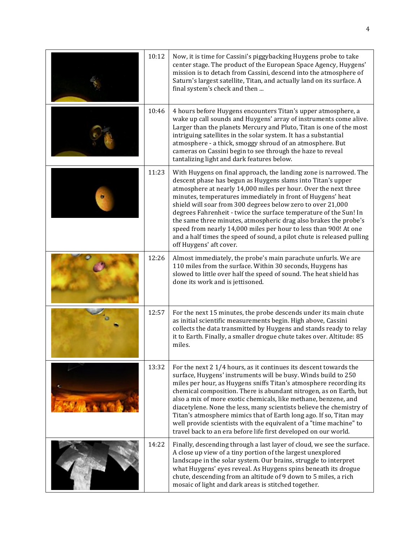| 10:12 | Now, it is time for Cassini's piggybacking Huygens probe to take<br>center stage. The product of the European Space Agency, Huygens'<br>mission is to detach from Cassini, descend into the atmosphere of<br>Saturn's largest satellite, Titan, and actually land on its surface. A<br>final system's check and then                                                                                                                                                                                                                                                                                                                                |
|-------|-----------------------------------------------------------------------------------------------------------------------------------------------------------------------------------------------------------------------------------------------------------------------------------------------------------------------------------------------------------------------------------------------------------------------------------------------------------------------------------------------------------------------------------------------------------------------------------------------------------------------------------------------------|
| 10:46 | 4 hours before Huygens encounters Titan's upper atmosphere, a<br>wake up call sounds and Huygens' array of instruments come alive.<br>Larger than the planets Mercury and Pluto, Titan is one of the most<br>intriguing satellites in the solar system. It has a substantial<br>atmosphere - a thick, smoggy shroud of an atmosphere. But<br>cameras on Cassini begin to see through the haze to reveal<br>tantalizing light and dark features below.                                                                                                                                                                                               |
| 11:23 | With Huygens on final approach, the landing zone is narrowed. The<br>descent phase has begun as Huygens slams into Titan's upper<br>atmosphere at nearly 14,000 miles per hour. Over the next three<br>minutes, temperatures immediately in front of Huygens' heat<br>shield will soar from 300 degrees below zero to over 21,000<br>degrees Fahrenheit - twice the surface temperature of the Sun! In<br>the same three minutes, atmospheric drag also brakes the probe's<br>speed from nearly 14,000 miles per hour to less than 900! At one<br>and a half times the speed of sound, a pilot chute is released pulling<br>off Huygens' aft cover. |
| 12:26 | Almost immediately, the probe's main parachute unfurls. We are<br>110 miles from the surface. Within 30 seconds, Huygens has<br>slowed to little over half the speed of sound. The heat shield has<br>done its work and is jettisoned.                                                                                                                                                                                                                                                                                                                                                                                                              |
| 12:57 | For the next 15 minutes, the probe descends under its main chute<br>as initial scientific measurements begin. High above, Cassini<br>collects the data transmitted by Huygens and stands ready to relay<br>it to Earth. Finally, a smaller drogue chute takes over. Altitude: 85<br>miles.                                                                                                                                                                                                                                                                                                                                                          |
| 13:32 | For the next 2 1/4 hours, as it continues its descent towards the<br>surface, Huygens' instruments will be busy. Winds build to 250<br>miles per hour, as Huygens sniffs Titan's atmosphere recording its<br>chemical composition. There is abundant nitrogen, as on Earth, but<br>also a mix of more exotic chemicals, like methane, benzene, and<br>diacetylene. None the less, many scientists believe the chemistry of<br>Titan's atmosphere mimics that of Earth long ago. If so, Titan may<br>well provide scientists with the equivalent of a "time machine" to<br>travel back to an era before life first developed on our world.           |
| 14:22 | Finally, descending through a last layer of cloud, we see the surface.<br>A close up view of a tiny portion of the largest unexplored<br>landscape in the solar system. Our brains, struggle to interpret<br>what Huygens' eyes reveal. As Huygens spins beneath its drogue<br>chute, descending from an altitude of 9 down to 5 miles, a rich<br>mosaic of light and dark areas is stitched together.                                                                                                                                                                                                                                              |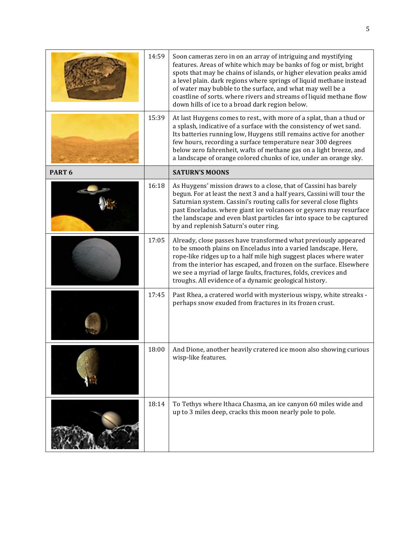|                   | 14:59 | Soon cameras zero in on an array of intriguing and mystifying<br>features. Areas of white which may be banks of fog or mist, bright<br>spots that may be chains of islands, or higher elevation peaks amid<br>a level plain. dark regions where springs of liquid methane instead<br>of water may bubble to the surface, and what may well be a<br>coastline of sorts. where rivers and streams of liquid methane flow<br>down hills of ice to a broad dark region below. |
|-------------------|-------|---------------------------------------------------------------------------------------------------------------------------------------------------------------------------------------------------------------------------------------------------------------------------------------------------------------------------------------------------------------------------------------------------------------------------------------------------------------------------|
|                   | 15:39 | At last Huygens comes to rest., with more of a splat, than a thud or<br>a splash, indicative of a surface with the consistency of wet sand.<br>Its batteries running low, Huygens still remains active for another<br>few hours, recording a surface temperature near 300 degrees<br>below zero fahrenheit, wafts of methane gas on a light breeze, and<br>a landscape of orange colored chunks of ice, under an orange sky.                                              |
| PART <sub>6</sub> |       | <b>SATURN'S MOONS</b>                                                                                                                                                                                                                                                                                                                                                                                                                                                     |
|                   | 16:18 | As Huygens' mission draws to a close, that of Cassini has barely<br>begun. For at least the next 3 and a half years, Cassini will tour the<br>Saturnian system. Cassini's routing calls for several close flights<br>past Enceladus. where giant ice volcanoes or geysers may resurface<br>the landscape and even blast particles far into space to be captured<br>by and replenish Saturn's outer ring.                                                                  |
|                   | 17:05 | Already, close passes have transformed what previously appeared<br>to be smooth plains on Enceladus into a varied landscape. Here,<br>rope-like ridges up to a half mile high suggest places where water<br>from the interior has escaped, and frozen on the surface. Elsewhere<br>we see a myriad of large faults, fractures, folds, crevices and<br>troughs. All evidence of a dynamic geological history.                                                              |
|                   | 17:45 | Past Rhea, a cratered world with mysterious wispy, white streaks -<br>perhaps snow exuded from fractures in its frozen crust.                                                                                                                                                                                                                                                                                                                                             |
|                   | 18:00 | And Dione, another heavily cratered ice moon also showing curious<br>wisp-like features.                                                                                                                                                                                                                                                                                                                                                                                  |
|                   | 18:14 | To Tethys where Ithaca Chasma, an ice canyon 60 miles wide and<br>up to 3 miles deep, cracks this moon nearly pole to pole.                                                                                                                                                                                                                                                                                                                                               |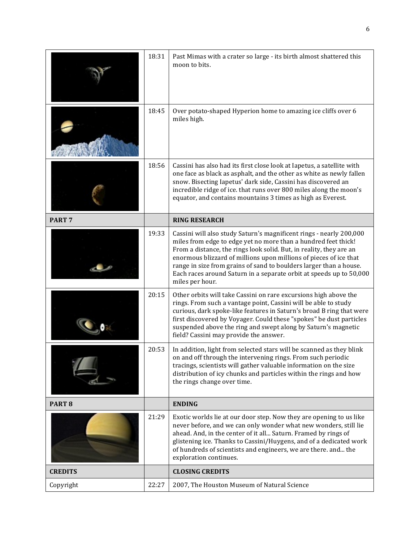|                   | 18:31 | Past Mimas with a crater so large - its birth almost shattered this<br>moon to bits.                                                                                                                                                                                                                                                                                                                                                              |
|-------------------|-------|---------------------------------------------------------------------------------------------------------------------------------------------------------------------------------------------------------------------------------------------------------------------------------------------------------------------------------------------------------------------------------------------------------------------------------------------------|
|                   | 18:45 | Over potato-shaped Hyperion home to amazing ice cliffs over 6<br>miles high.                                                                                                                                                                                                                                                                                                                                                                      |
|                   | 18:56 | Cassini has also had its first close look at Iapetus, a satellite with<br>one face as black as asphalt, and the other as white as newly fallen<br>snow. Bisecting Iapetus' dark side, Cassini has discovered an<br>incredible ridge of ice. that runs over 800 miles along the moon's<br>equator, and contains mountains 3 times as high as Everest.                                                                                              |
| PART <sub>7</sub> |       | <b>RING RESEARCH</b>                                                                                                                                                                                                                                                                                                                                                                                                                              |
|                   | 19:33 | Cassini will also study Saturn's magnificent rings - nearly 200,000<br>miles from edge to edge yet no more than a hundred feet thick!<br>From a distance, the rings look solid. But, in reality, they are an<br>enormous blizzard of millions upon millions of pieces of ice that<br>range in size from grains of sand to boulders larger than a house.<br>Each races around Saturn in a separate orbit at speeds up to 50,000<br>miles per hour. |
|                   | 20:15 | Other orbits will take Cassini on rare excursions high above the<br>rings. From such a vantage point, Cassini will be able to study<br>curious, dark spoke-like features in Saturn's broad B ring that were<br>first discovered by Voyager. Could these "spokes" be dust particles<br>suspended above the ring and swept along by Saturn's magnetic<br>field? Cassini may provide the answer.                                                     |
|                   | 20:53 | In addition, light from selected stars will be scanned as they blink<br>on and off through the intervening rings. From such periodic<br>tracings, scientists will gather valuable information on the size<br>distribution of icy chunks and particles within the rings and how<br>the rings change over time.                                                                                                                                     |
| PART <sub>8</sub> |       | <b>ENDING</b>                                                                                                                                                                                                                                                                                                                                                                                                                                     |
|                   | 21:29 | Exotic worlds lie at our door step. Now they are opening to us like<br>never before, and we can only wonder what new wonders, still lie<br>ahead. And, in the center of it all Saturn. Framed by rings of<br>glistening ice. Thanks to Cassini/Huygens, and of a dedicated work<br>of hundreds of scientists and engineers, we are there. and the<br>exploration continues.                                                                       |
| <b>CREDITS</b>    |       | <b>CLOSING CREDITS</b>                                                                                                                                                                                                                                                                                                                                                                                                                            |
| Copyright         | 22:27 | 2007, The Houston Museum of Natural Science                                                                                                                                                                                                                                                                                                                                                                                                       |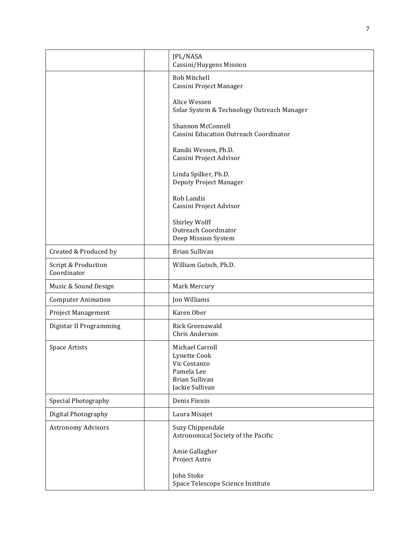|                                    | JPL/NASA<br>Cassini/Huygens Mission                                                                |
|------------------------------------|----------------------------------------------------------------------------------------------------|
|                                    | <b>Bob Mitchell</b><br>Cassini Project Manager                                                     |
|                                    | Alice Wessen<br>Solar System & Technology Outreach Manager                                         |
|                                    | Shannon McConnell<br>Cassini Education Outreach Coordinator                                        |
|                                    | Randii Wessen, Ph.D.<br>Cassini Project Advisor                                                    |
|                                    | Linda Spilker, Ph.D.<br>Deputy Project Manager                                                     |
|                                    | Rob Landis<br>Cassini Project Advisor                                                              |
|                                    | Shirley Wolff<br><b>Outreach Coordinator</b><br>Deep Mission System                                |
| Created & Produced by              | <b>Brian Sullivan</b>                                                                              |
| Script & Production<br>Coordinator | William Gutsch, Ph.D.                                                                              |
| Music & Sound Design               | Mark Mercury                                                                                       |
| <b>Computer Animation</b>          | Jon Williams                                                                                       |
| Project Management                 | Karen Ober                                                                                         |
| Digistar II Programming            | Rick Greenawald<br>Chris Anderson                                                                  |
| Space Artists                      | Michael Carroll<br>Lynette Cook<br>Vic Costanzo<br>Pamela Lee<br>Brian Sullivan<br>Jackie Sullivan |
| Special Photography                | Denis Finnin                                                                                       |
| Digital Photography                | Laura Misajet                                                                                      |
| <b>Astronomy Advisors</b>          | Suzy Chippendale<br>Astronomical Society of the Pacific                                            |
|                                    | Amie Gallagher<br>Project Astro                                                                    |
|                                    | John Stoke<br>Space Telescope Science Institute                                                    |